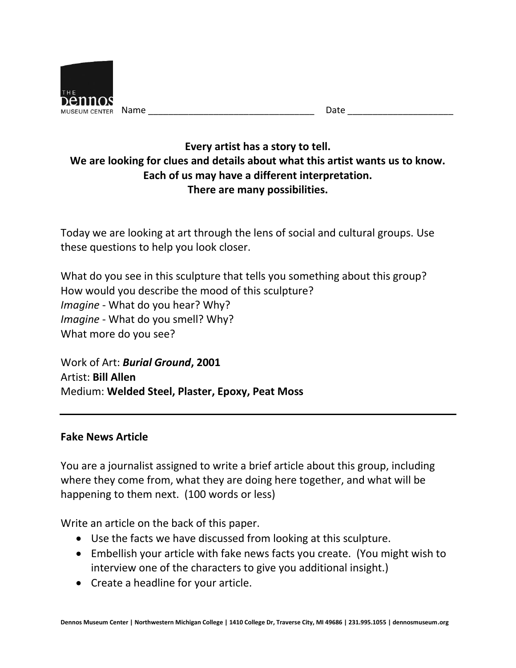

| Name | ----<br>u u |
|------|-------------|
|      |             |

## **Every artist has a story to tell. We are looking for clues and details about what this artist wants us to know. Each of us may have a different interpretation. There are many possibilities.**

Today we are looking at art through the lens of social and cultural groups. Use these questions to help you look closer.

What do you see in this sculpture that tells you something about this group? How would you describe the mood of this sculpture? *Imagine* - What do you hear? Why? *Imagine* - What do you smell? Why? What more do you see?

Work of Art: *Burial Ground***, 2001** Artist: **Bill Allen** Medium: **Welded Steel, Plaster, Epoxy, Peat Moss**

## **Fake News Article**

You are a journalist assigned to write a brief article about this group, including where they come from, what they are doing here together, and what will be happening to them next. (100 words or less)

Write an article on the back of this paper.

- Use the facts we have discussed from looking at this sculpture.
- Embellish your article with fake news facts you create. (You might wish to interview one of the characters to give you additional insight.)
- Create a headline for your article.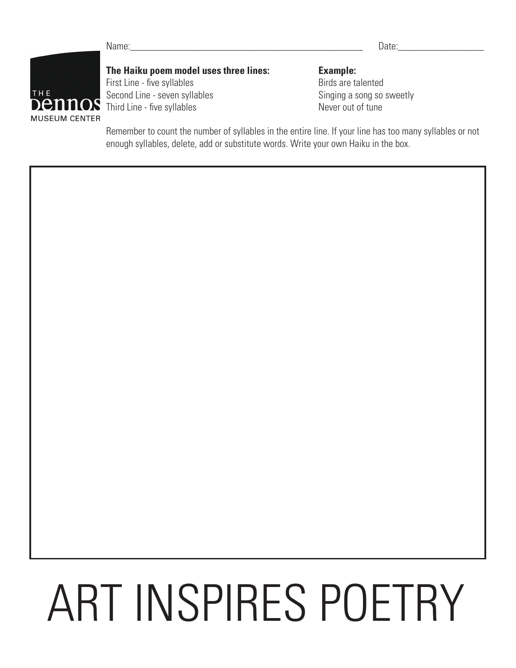Name:\_\_\_\_\_\_\_\_\_\_\_\_\_\_\_\_\_\_\_\_\_\_\_\_\_\_\_\_\_\_\_\_\_\_\_\_\_\_\_\_\_\_\_\_\_\_ Date:\_\_\_\_\_\_\_\_\_\_\_\_\_\_\_\_\_



**The Haiku poem model uses three lines: Example: Example** Example: **Example** Example: **Example** Example: **Example** Example: **Example** Example: **Example** Example: **Example** Example: **Example** Example Example Example Exa First Line - five syllables Second Line - seven syllables Singing a song so sweetly Third Line - five syllables Never out of tune

Remember to count the number of syllables in the entire line. If your line has too many syllables or not enough syllables, delete, add or substitute words. Write your own Haiku in the box.

## ART INSPIRES POETRY